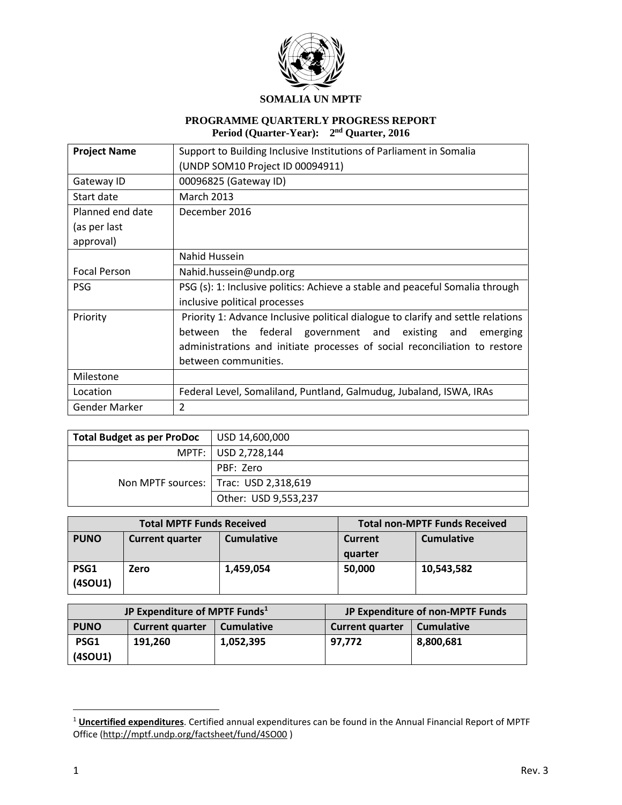

# **PROGRAMME QUARTERLY PROGRESS REPORT Period (Quarter-Year): 2 nd Quarter, 2016**

| <b>Project Name</b> | Support to Building Inclusive Institutions of Parliament in Somalia              |  |  |
|---------------------|----------------------------------------------------------------------------------|--|--|
|                     | (UNDP SOM10 Project ID 00094911)                                                 |  |  |
| Gateway ID          | 00096825 (Gateway ID)                                                            |  |  |
| Start date          | <b>March 2013</b>                                                                |  |  |
| Planned end date    | December 2016                                                                    |  |  |
| (as per last        |                                                                                  |  |  |
| approval)           |                                                                                  |  |  |
|                     | Nahid Hussein                                                                    |  |  |
| <b>Focal Person</b> | Nahid.hussein@undp.org                                                           |  |  |
| <b>PSG</b>          | PSG (s): 1: Inclusive politics: Achieve a stable and peaceful Somalia through    |  |  |
|                     | inclusive political processes                                                    |  |  |
| Priority            | Priority 1: Advance Inclusive political dialogue to clarify and settle relations |  |  |
|                     | the federal government and existing and<br>between<br>emerging                   |  |  |
|                     | administrations and initiate processes of social reconciliation to restore       |  |  |
|                     | between communities.                                                             |  |  |
| Milestone           |                                                                                  |  |  |
| Location            | Federal Level, Somaliland, Puntland, Galmudug, Jubaland, ISWA, IRAs              |  |  |
| Gender Marker       | $\mathcal{P}$                                                                    |  |  |

| <b>Total Budget as per ProDoc</b> | $ $ USD 14,600,000                      |
|-----------------------------------|-----------------------------------------|
|                                   | MPTF:   USD 2,728,144                   |
|                                   | PBF: Zero                               |
|                                   | Non MPTF sources:   Trac: USD 2,318,619 |
|                                   | Other: USD 9,553,237                    |

|                 | <b>Total MPTF Funds Received</b> | <b>Total non-MPTF Funds Received</b> |                           |                   |
|-----------------|----------------------------------|--------------------------------------|---------------------------|-------------------|
| <b>PUNO</b>     | <b>Current quarter</b>           | <b>Cumulative</b>                    | <b>Current</b><br>quarter | <b>Cumulative</b> |
| PSG1<br>(4SOU1) | Zero                             | 1,459,054                            | 50,000                    | 10,543,582        |

| JP Expenditure of MPTF Funds <sup>1</sup> |                        |                   | JP Expenditure of non-MPTF Funds     |           |  |
|-------------------------------------------|------------------------|-------------------|--------------------------------------|-----------|--|
| <b>PUNO</b>                               | <b>Current quarter</b> | <b>Cumulative</b> | <b>Current quarter</b><br>Cumulative |           |  |
| PSG1                                      | 191.260                | 1,052,395         | 97.772                               | 8,800,681 |  |
| (4SOU1)                                   |                        |                   |                                      |           |  |

 $\overline{a}$ 

<sup>1</sup> **Uncertified expenditures**. Certified annual expenditures can be found in the Annual Financial Report of MPTF Office [\(http://mptf.undp.org/factsheet/fund/4SO00](http://mptf.undp.org/factsheet/fund/4SO00) )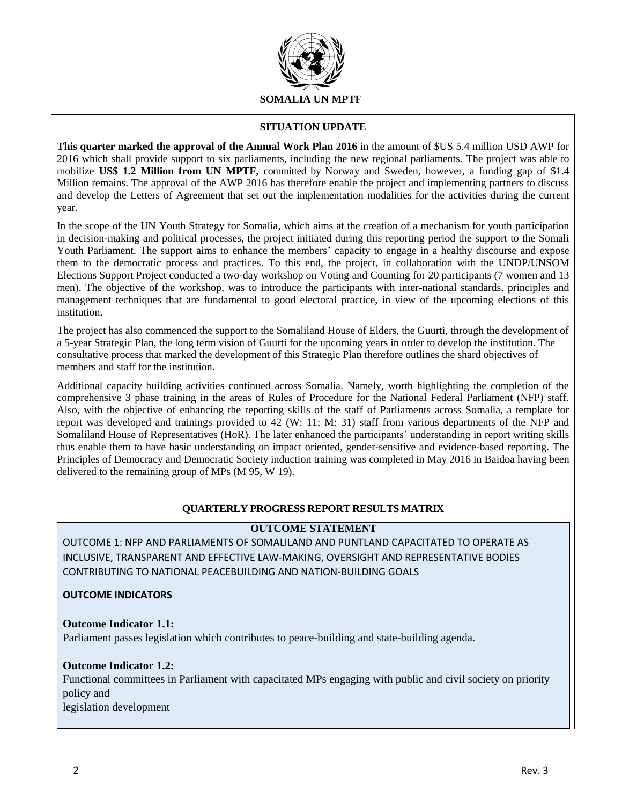

### **SITUATION UPDATE**

**This quarter marked the approval of the Annual Work Plan 2016** in the amount of \$US 5.4 million USD AWP for 2016 which shall provide support to six parliaments, including the new regional parliaments. The project was able to mobilize **US\$ 1.2 Million from UN MPTF,** committed by Norway and Sweden, however, a funding gap of \$1.4 Million remains. The approval of the AWP 2016 has therefore enable the project and implementing partners to discuss and develop the Letters of Agreement that set out the implementation modalities for the activities during the current year.

In the scope of the UN Youth Strategy for Somalia, which aims at the creation of a mechanism for youth participation in decision-making and political processes, the project initiated during this reporting period the support to the Somali Youth Parliament. The support aims to enhance the members' capacity to engage in a healthy discourse and expose them to the democratic process and practices. To this end, the project, in collaboration with the UNDP/UNSOM Elections Support Project conducted a two-day workshop on Voting and Counting for 20 participants (7 women and 13 men). The objective of the workshop, was to introduce the participants with inter-national standards, principles and management techniques that are fundamental to good electoral practice, in view of the upcoming elections of this institution.

The project has also commenced the support to the Somaliland House of Elders, the Guurti, through the development of a 5-year Strategic Plan, the long term vision of Guurti for the upcoming years in order to develop the institution. The consultative process that marked the development of this Strategic Plan therefore outlines the shard objectives of members and staff for the institution.

Additional capacity building activities continued across Somalia. Namely, worth highlighting the completion of the comprehensive 3 phase training in the areas of Rules of Procedure for the National Federal Parliament (NFP) staff. Also, with the objective of enhancing the reporting skills of the staff of Parliaments across Somalia, a template for report was developed and trainings provided to 42 (W: 11; M: 31) staff from various departments of the NFP and Somaliland House of Representatives (HoR). The later enhanced the participants' understanding in report writing skills thus enable them to have basic understanding on impact oriented, gender-sensitive and evidence-based reporting. The Principles of Democracy and Democratic Society induction training was completed in May 2016 in Baidoa having been delivered to the remaining group of MPs (M 95, W 19).

# **QUARTERLY PROGRESS REPORT RESULTS MATRIX**

# **OUTCOME STATEMENT**

OUTCOME 1: NFP AND PARLIAMENTS OF SOMALILAND AND PUNTLAND CAPACITATED TO OPERATE AS INCLUSIVE, TRANSPARENT AND EFFECTIVE LAW-MAKING, OVERSIGHT AND REPRESENTATIVE BODIES CONTRIBUTING TO NATIONAL PEACEBUILDING AND NATION-BUILDING GOALS

#### **OUTCOME INDICATORS**

# **Outcome Indicator 1.1:**

Parliament passes legislation which contributes to peace-building and state-building agenda.

# **Outcome Indicator 1.2:**

Functional committees in Parliament with capacitated MPs engaging with public and civil society on priority policy and legislation development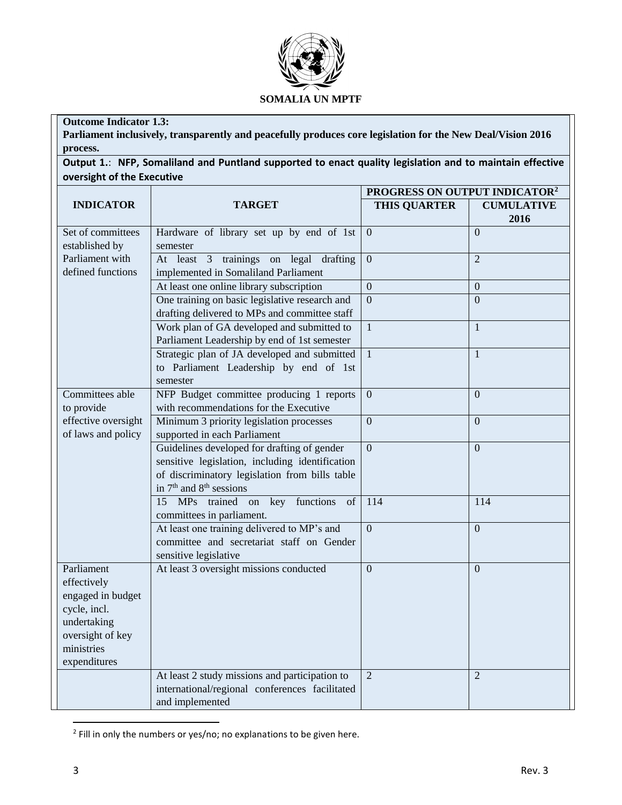

# **Outcome Indicator 1.3:**

**Parliament inclusively, transparently and peacefully produces core legislation for the New Deal/Vision 2016 process.**

**Output 1.**: **NFP, Somaliland and Puntland supported to enact quality legislation and to maintain effective oversight of the Executive**

|                                     |                                                      | PROGRESS ON OUTPUT INDICATOR <sup>2</sup> |                   |  |  |
|-------------------------------------|------------------------------------------------------|-------------------------------------------|-------------------|--|--|
| <b>INDICATOR</b>                    | <b>TARGET</b>                                        | <b>THIS QUARTER</b>                       | <b>CUMULATIVE</b> |  |  |
|                                     |                                                      |                                           | 2016              |  |  |
| Set of committees<br>established by | Hardware of library set up by end of 1st<br>semester | $\mathbf{0}$                              | $\overline{0}$    |  |  |
| Parliament with                     | At least 3 trainings on legal drafting               | $\boldsymbol{0}$                          | $\overline{2}$    |  |  |
| defined functions                   | implemented in Somaliland Parliament                 |                                           |                   |  |  |
|                                     | At least one online library subscription             | $\overline{0}$                            | $\overline{0}$    |  |  |
|                                     | One training on basic legislative research and       | $\overline{0}$                            | $\overline{0}$    |  |  |
|                                     | drafting delivered to MPs and committee staff        |                                           |                   |  |  |
|                                     | Work plan of GA developed and submitted to           | $\mathbf{1}$                              | $\mathbf{1}$      |  |  |
|                                     | Parliament Leadership by end of 1st semester         |                                           |                   |  |  |
|                                     | Strategic plan of JA developed and submitted         | $\mathbf{1}$                              | $\mathbf{1}$      |  |  |
|                                     | to Parliament Leadership by end of 1st               |                                           |                   |  |  |
|                                     | semester                                             |                                           |                   |  |  |
| Committees able                     | NFP Budget committee producing 1 reports             | $\overline{0}$                            | $\overline{0}$    |  |  |
| to provide                          | with recommendations for the Executive               |                                           |                   |  |  |
| effective oversight                 | Minimum 3 priority legislation processes             | $\mathbf{0}$                              | $\boldsymbol{0}$  |  |  |
| of laws and policy                  | supported in each Parliament                         |                                           |                   |  |  |
|                                     | Guidelines developed for drafting of gender          | $\overline{0}$                            | $\overline{0}$    |  |  |
|                                     | sensitive legislation, including identification      |                                           |                   |  |  |
|                                     | of discriminatory legislation from bills table       |                                           |                   |  |  |
|                                     | in 7 <sup>th</sup> and 8 <sup>th</sup> sessions      |                                           |                   |  |  |
|                                     | 15 MPs trained on key functions<br>of                | 114                                       | 114               |  |  |
|                                     | committees in parliament.                            |                                           |                   |  |  |
|                                     | At least one training delivered to MP's and          | $\overline{0}$                            | $\overline{0}$    |  |  |
|                                     | committee and secretariat staff on Gender            |                                           |                   |  |  |
| Parliament                          | sensitive legislative                                | $\overline{0}$                            |                   |  |  |
| effectively                         | At least 3 oversight missions conducted              |                                           | $\Omega$          |  |  |
| engaged in budget                   |                                                      |                                           |                   |  |  |
| cycle, incl.                        |                                                      |                                           |                   |  |  |
| undertaking                         |                                                      |                                           |                   |  |  |
| oversight of key                    |                                                      |                                           |                   |  |  |
| ministries                          |                                                      |                                           |                   |  |  |
| expenditures                        |                                                      |                                           |                   |  |  |
|                                     | At least 2 study missions and participation to       | $\overline{2}$                            | $\overline{2}$    |  |  |
|                                     | international/regional conferences facilitated       |                                           |                   |  |  |
|                                     | and implemented                                      |                                           |                   |  |  |

 2 Fill in only the numbers or yes/no; no explanations to be given here.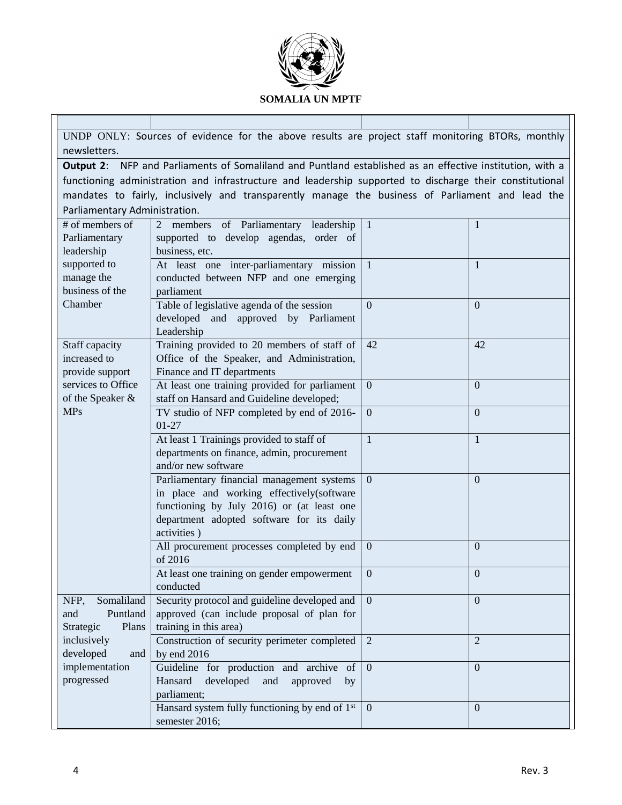

| UNDP ONLY: Sources of evidence for the above results are project staff monitoring BTORs, monthly |                                                                                                                 |                |                  |  |  |  |  |  |
|--------------------------------------------------------------------------------------------------|-----------------------------------------------------------------------------------------------------------------|----------------|------------------|--|--|--|--|--|
| newsletters.                                                                                     |                                                                                                                 |                |                  |  |  |  |  |  |
|                                                                                                  | <b>Output 2:</b> NFP and Parliaments of Somaliland and Puntland established as an effective institution, with a |                |                  |  |  |  |  |  |
|                                                                                                  | functioning administration and infrastructure and leadership supported to discharge their constitutional        |                |                  |  |  |  |  |  |
|                                                                                                  | mandates to fairly, inclusively and transparently manage the business of Parliament and lead the                |                |                  |  |  |  |  |  |
| Parliamentary Administration.                                                                    |                                                                                                                 |                |                  |  |  |  |  |  |
| # of members of                                                                                  | 2 members<br>of Parliamentary leadership<br>1<br>$\overline{1}$                                                 |                |                  |  |  |  |  |  |
| Parliamentary                                                                                    | supported to develop agendas, order of                                                                          |                |                  |  |  |  |  |  |
| leadership                                                                                       | business, etc.                                                                                                  |                |                  |  |  |  |  |  |
| supported to                                                                                     | At least one inter-parliamentary mission                                                                        | $\mathbf{1}$   | 1                |  |  |  |  |  |
| manage the                                                                                       | conducted between NFP and one emerging                                                                          |                |                  |  |  |  |  |  |
| business of the                                                                                  | parliament                                                                                                      |                |                  |  |  |  |  |  |
| Chamber                                                                                          | Table of legislative agenda of the session                                                                      | $\Omega$       | $\Omega$         |  |  |  |  |  |
|                                                                                                  | developed and approved by Parliament                                                                            |                |                  |  |  |  |  |  |
|                                                                                                  | Leadership                                                                                                      |                |                  |  |  |  |  |  |
| Staff capacity                                                                                   | Training provided to 20 members of staff of                                                                     | 42             | 42               |  |  |  |  |  |
| increased to                                                                                     | Office of the Speaker, and Administration,                                                                      |                |                  |  |  |  |  |  |
| provide support                                                                                  | Finance and IT departments                                                                                      |                |                  |  |  |  |  |  |
| services to Office                                                                               | At least one training provided for parliament                                                                   | $\mathbf{0}$   | $\overline{0}$   |  |  |  |  |  |
| of the Speaker &                                                                                 | staff on Hansard and Guideline developed;                                                                       |                |                  |  |  |  |  |  |
| <b>MPs</b>                                                                                       | TV studio of NFP completed by end of 2016-                                                                      | $\overline{0}$ | $\mathbf{0}$     |  |  |  |  |  |
|                                                                                                  | $01 - 27$                                                                                                       |                |                  |  |  |  |  |  |
|                                                                                                  | At least 1 Trainings provided to staff of                                                                       | $\mathbf{1}$   | $\mathbf{1}$     |  |  |  |  |  |
|                                                                                                  | departments on finance, admin, procurement                                                                      |                |                  |  |  |  |  |  |
|                                                                                                  | and/or new software                                                                                             |                |                  |  |  |  |  |  |
|                                                                                                  | Parliamentary financial management systems                                                                      | $\mathbf{0}$   | $\mathbf{0}$     |  |  |  |  |  |
|                                                                                                  | in place and working effectively(software                                                                       |                |                  |  |  |  |  |  |
|                                                                                                  | functioning by July 2016) or (at least one                                                                      |                |                  |  |  |  |  |  |
|                                                                                                  | department adopted software for its daily<br>activities)                                                        |                |                  |  |  |  |  |  |
|                                                                                                  |                                                                                                                 |                |                  |  |  |  |  |  |
|                                                                                                  | All procurement processes completed by end<br>of 2016                                                           | $\overline{0}$ | $\mathbf{0}$     |  |  |  |  |  |
|                                                                                                  | At least one training on gender empowerment $\begin{pmatrix} 0 \\ 0 \end{pmatrix}$                              |                | $\boldsymbol{0}$ |  |  |  |  |  |
|                                                                                                  | conducted                                                                                                       |                |                  |  |  |  |  |  |
| Somaliland<br>NFP,                                                                               | Security protocol and guideline developed and                                                                   | $\overline{0}$ | $\mathbf{0}$     |  |  |  |  |  |
| Puntland<br>and                                                                                  | approved (can include proposal of plan for                                                                      |                |                  |  |  |  |  |  |
| Strategic<br>Plans                                                                               | training in this area)                                                                                          |                |                  |  |  |  |  |  |
| inclusively                                                                                      | Construction of security perimeter completed                                                                    | 2              | $\overline{2}$   |  |  |  |  |  |
| developed<br>and                                                                                 | by end 2016                                                                                                     |                |                  |  |  |  |  |  |
| implementation                                                                                   | Guideline for production and archive of                                                                         | $\overline{0}$ | $\overline{0}$   |  |  |  |  |  |
| progressed                                                                                       | Hansard<br>developed<br>and<br>approved<br>by                                                                   |                |                  |  |  |  |  |  |
|                                                                                                  | parliament;                                                                                                     |                |                  |  |  |  |  |  |
|                                                                                                  | Hansard system fully functioning by end of 1 <sup>st</sup>                                                      | $\overline{0}$ | $\overline{0}$   |  |  |  |  |  |
|                                                                                                  | semester 2016;                                                                                                  |                |                  |  |  |  |  |  |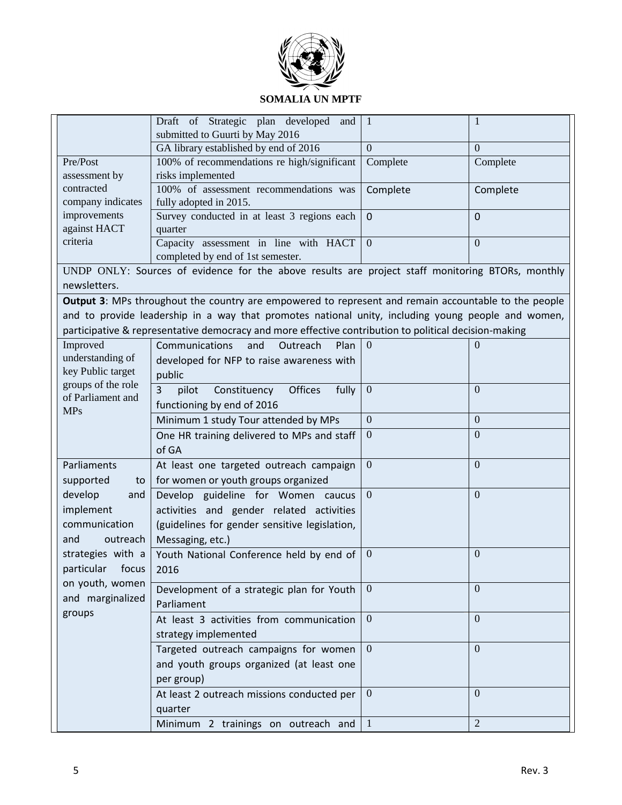

|                                 | Draft of Strategic plan developed<br>and                                                              | $\mathbf{1}$   | 1              |
|---------------------------------|-------------------------------------------------------------------------------------------------------|----------------|----------------|
|                                 | submitted to Guurti by May 2016                                                                       |                |                |
|                                 | GA library established by end of 2016                                                                 | $\Omega$       | $\Omega$       |
| Pre/Post<br>assessment by       | 100% of recommendations re high/significant<br>risks implemented                                      | Complete       | Complete       |
| contracted                      | 100% of assessment recommendations was                                                                | Complete       | Complete       |
| company indicates               | fully adopted in 2015.                                                                                |                |                |
| improvements                    | Survey conducted in at least 3 regions each                                                           | $\mathbf{0}$   | $\Omega$       |
| against HACT                    | quarter                                                                                               |                |                |
| criteria                        | Capacity assessment in line with HACT                                                                 | $\mathbf{0}$   | $\overline{0}$ |
|                                 | completed by end of 1st semester.                                                                     |                |                |
|                                 | UNDP ONLY: Sources of evidence for the above results are project staff monitoring BTORs, monthly      |                |                |
| newsletters.                    |                                                                                                       |                |                |
|                                 | Output 3: MPs throughout the country are empowered to represent and remain accountable to the people  |                |                |
|                                 | and to provide leadership in a way that promotes national unity, including young people and women,    |                |                |
|                                 | participative & representative democracy and more effective contribution to political decision-making |                |                |
| Improved                        | Communications<br>and<br>Outreach<br>Plan                                                             | $\overline{0}$ | $\theta$       |
| understanding of                | developed for NFP to raise awareness with                                                             |                |                |
| key Public target               | public                                                                                                |                |                |
| groups of the role              | 3<br>Constituency<br><b>Offices</b><br>fully<br>pilot                                                 | $\mathbf{0}$   | $\overline{0}$ |
| of Parliament and<br><b>MPs</b> | functioning by end of 2016                                                                            |                |                |
|                                 | Minimum 1 study Tour attended by MPs                                                                  | $\mathbf{0}$   | $\mathbf{0}$   |
|                                 | One HR training delivered to MPs and staff                                                            | $\mathbf{0}$   | $\Omega$       |
|                                 | of GA                                                                                                 |                |                |
| Parliaments                     | At least one targeted outreach campaign                                                               | $\mathbf{0}$   | $\overline{0}$ |
| supported<br>to                 | for women or youth groups organized                                                                   |                |                |
| develop<br>and                  | Develop guideline for Women caucus                                                                    | $\overline{0}$ | $\Omega$       |
| implement                       | activities and gender related activities                                                              |                |                |
| communication                   | (guidelines for gender sensitive legislation,                                                         |                |                |
| and<br>outreach                 | Messaging, etc.)                                                                                      |                |                |
| strategies with a               | Youth National Conference held by end of                                                              | $\overline{0}$ | $\theta$       |
| particular focus                | 2016                                                                                                  |                |                |
| on youth, women                 |                                                                                                       | $\overline{0}$ | $\Omega$       |
| and marginalized                | Development of a strategic plan for Youth                                                             |                |                |
| groups                          | Parliament                                                                                            |                | $\overline{0}$ |
|                                 | At least 3 activities from communication                                                              | $\mathbf{0}$   |                |
|                                 | strategy implemented                                                                                  |                |                |
|                                 | Targeted outreach campaigns for women                                                                 | $\mathbf{0}$   | $\overline{0}$ |
|                                 | and youth groups organized (at least one                                                              |                |                |
|                                 | per group)                                                                                            |                |                |
|                                 | At least 2 outreach missions conducted per                                                            | $\mathbf{0}$   | $\theta$       |
|                                 | quarter                                                                                               |                |                |
|                                 | Minimum 2 trainings on outreach and                                                                   |                | $\overline{2}$ |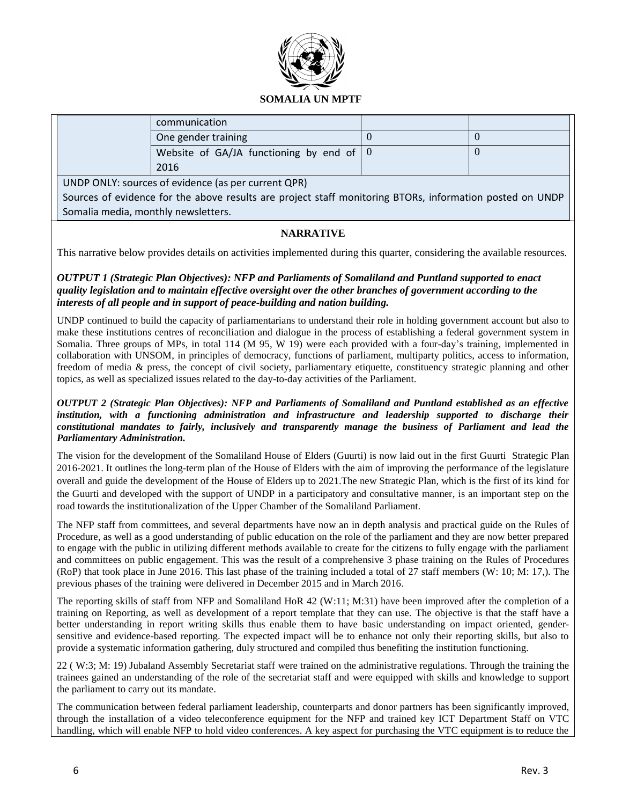

| communication                                            |  |
|----------------------------------------------------------|--|
| One gender training                                      |  |
| Website of GA/JA functioning by end of $\vert 0 \rangle$ |  |
| 2016                                                     |  |

UNDP ONLY: sources of evidence (as per current QPR)

Sources of evidence for the above results are project staff monitoring BTORs, information posted on UNDP Somalia media, monthly newsletters.

# **NARRATIVE**

This narrative below provides details on activities implemented during this quarter, considering the available resources.

## *OUTPUT 1 (Strategic Plan Objectives): NFP and Parliaments of Somaliland and Puntland supported to enact quality legislation and to maintain effective oversight over the other branches of government according to the interests of all people and in support of peace-building and nation building.*

UNDP continued to build the capacity of parliamentarians to understand their role in holding government account but also to make these institutions centres of reconciliation and dialogue in the process of establishing a federal government system in Somalia. Three groups of MPs, in total 114 (M 95, W 19) were each provided with a four-day's training, implemented in collaboration with UNSOM, in principles of democracy, functions of parliament, multiparty politics, access to information, freedom of media & press, the concept of civil society, parliamentary etiquette, constituency strategic planning and other topics, as well as specialized issues related to the day-to-day activities of the Parliament.

#### *OUTPUT 2 (Strategic Plan Objectives): NFP and Parliaments of Somaliland and Puntland established as an effective institution, with a functioning administration and infrastructure and leadership supported to discharge their constitutional mandates to fairly, inclusively and transparently manage the business of Parliament and lead the Parliamentary Administration.*

The vision for the development of the Somaliland House of Elders (Guurti) is now laid out in the first Guurti Strategic Plan 2016-2021. It outlines the long-term plan of the House of Elders with the aim of improving the performance of the legislature overall and guide the development of the House of Elders up to 2021.The new Strategic Plan, which is the first of its kind for the Guurti and developed with the support of UNDP in a participatory and consultative manner, is an important step on the road towards the institutionalization of the Upper Chamber of the Somaliland Parliament.

The NFP staff from committees, and several departments have now an in depth analysis and practical guide on the Rules of Procedure, as well as a good understanding of public education on the role of the parliament and they are now better prepared to engage with the public in utilizing different methods available to create for the citizens to fully engage with the parliament and committees on public engagement. This was the result of a comprehensive 3 phase training on the Rules of Procedures (RoP) that took place in June 2016. This last phase of the training included a total of 27 staff members (W: 10; M: 17,). The previous phases of the training were delivered in December 2015 and in March 2016.

The reporting skills of staff from NFP and Somaliland HoR 42 (W:11; M:31) have been improved after the completion of a training on Reporting, as well as development of a report template that they can use. The objective is that the staff have a better understanding in report writing skills thus enable them to have basic understanding on impact oriented, gendersensitive and evidence-based reporting. The expected impact will be to enhance not only their reporting skills, but also to provide a systematic information gathering, duly structured and compiled thus benefiting the institution functioning.

22 ( W:3; M: 19) Jubaland Assembly Secretariat staff were trained on the administrative regulations. Through the training the trainees gained an understanding of the role of the secretariat staff and were equipped with skills and knowledge to support the parliament to carry out its mandate.

The communication between federal parliament leadership, counterparts and donor partners has been significantly improved, through the installation of a video teleconference equipment for the NFP and trained key ICT Department Staff on VTC handling, which will enable NFP to hold video conferences. A key aspect for purchasing the VTC equipment is to reduce the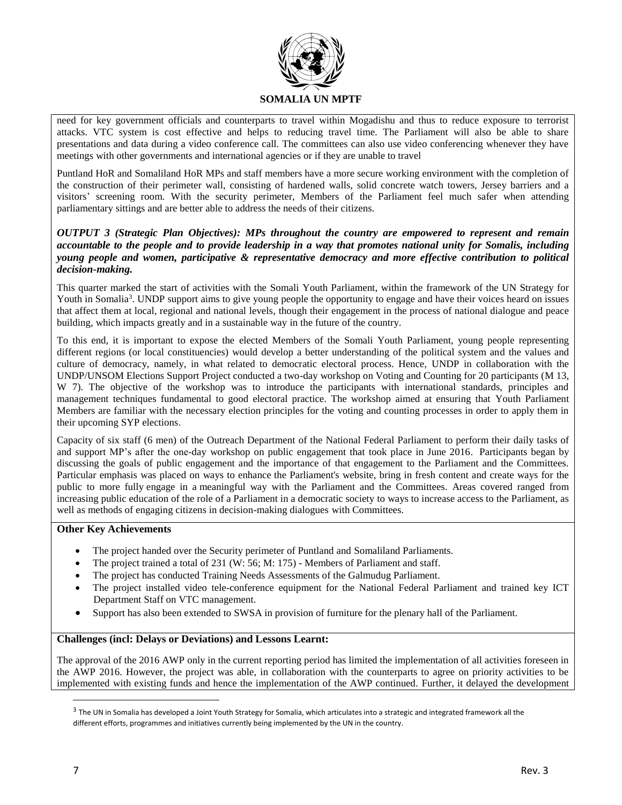

need for key government officials and counterparts to travel within Mogadishu and thus to reduce exposure to terrorist attacks. VTC system is cost effective and helps to reducing travel time. The Parliament will also be able to share presentations and data during a video conference call. The committees can also use video conferencing whenever they have meetings with other governments and international agencies or if they are unable to travel

Puntland HoR and Somaliland HoR MPs and staff members have a more secure working environment with the completion of the construction of their perimeter wall, consisting of hardened walls, solid concrete watch towers, Jersey barriers and a visitors' screening room. With the security perimeter, Members of the Parliament feel much safer when attending parliamentary sittings and are better able to address the needs of their citizens.

### *OUTPUT 3 (Strategic Plan Objectives): MPs throughout the country are empowered to represent and remain accountable to the people and to provide leadership in a way that promotes national unity for Somalis, including young people and women, participative & representative democracy and more effective contribution to political decision-making.*

This quarter marked the start of activities with the Somali Youth Parliament, within the framework of the UN Strategy for Youth in Somalia<sup>3</sup>. UNDP support aims to give young people the opportunity to engage and have their voices heard on issues that affect them at local, regional and national levels, though their engagement in the process of national dialogue and peace building, which impacts greatly and in a sustainable way in the future of the country.

To this end, it is important to expose the elected Members of the Somali Youth Parliament, young people representing different regions (or local constituencies) would develop a better understanding of the political system and the values and culture of democracy, namely, in what related to democratic electoral process. Hence, UNDP in collaboration with the UNDP/UNSOM Elections Support Project conducted a two-day workshop on Voting and Counting for 20 participants (M 13, W 7). The objective of the workshop was to introduce the participants with international standards, principles and management techniques fundamental to good electoral practice. The workshop aimed at ensuring that Youth Parliament Members are familiar with the necessary election principles for the voting and counting processes in order to apply them in their upcoming SYP elections.

Capacity of six staff (6 men) of the Outreach Department of the National Federal Parliament to perform their daily tasks of and support MP's after the one-day workshop on public engagement that took place in June 2016. Participants began by discussing the goals of public engagement and the importance of that engagement to the Parliament and the Committees. Particular emphasis was placed on ways to enhance the Parliament's website, bring in fresh content and create ways for the public to more fully engage in a meaningful way with the Parliament and the Committees. Areas covered ranged from increasing public education of the role of a Parliament in a democratic society to ways to increase access to the Parliament, as well as methods of engaging citizens in decision-making dialogues with Committees.

#### **Other Key Achievements**

- The project handed over the Security perimeter of Puntland and Somaliland Parliaments.
- The project trained a total of 231 (W: 56; M: 175) Members of Parliament and staff.
- The project has conducted Training Needs Assessments of the Galmudug Parliament.
- The project installed video tele-conference equipment for the National Federal Parliament and trained key ICT Department Staff on VTC management.
- Support has also been extended to SWSA in provision of furniture for the plenary hall of the Parliament.

#### **Challenges (incl: Delays or Deviations) and Lessons Learnt:**

The approval of the 2016 AWP only in the current reporting period has limited the implementation of all activities foreseen in the AWP 2016. However, the project was able, in collaboration with the counterparts to agree on priority activities to be implemented with existing funds and hence the implementation of the AWP continued. Further, it delayed the development

 $\overline{a}$ 

 $^3$  The UN in Somalia has developed a Joint Youth Strategy for Somalia, which articulates into a strategic and integrated framework all the different efforts, programmes and initiatives currently being implemented by the UN in the country.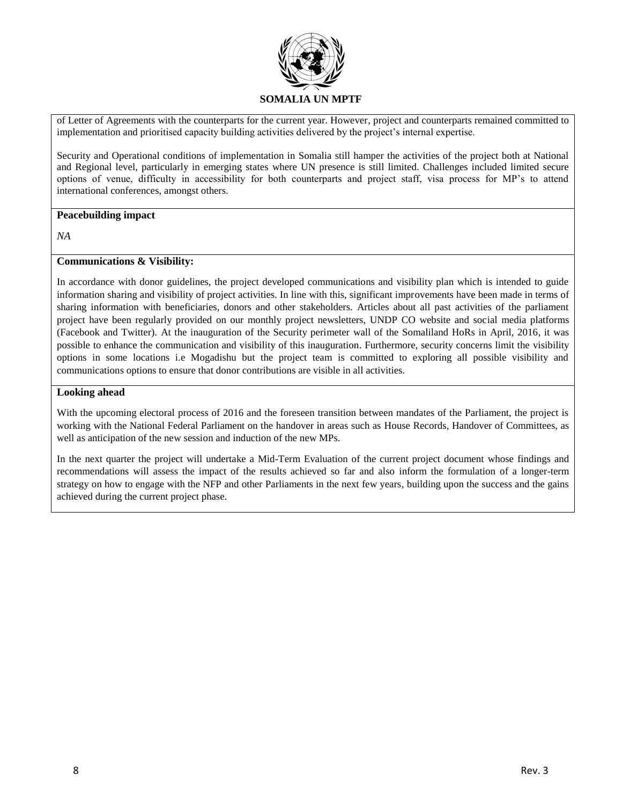

of Letter of Agreements with the counterparts for the current year. However, project and counterparts remained committed to implementation and prioritised capacity building activities delivered by the project's internal expertise.

- Security and Operational conditions of implementation in Somalia still hamper the activities of the project both at National and Regional level, particularly in emerging states where UN presence is still limited. Challenges included limited secure options of venue, difficulty in accessibility for both counterparts and project staff, visa process for MP's to attend international conferences, amongst others.

#### **Peacebuilding impact**

*NA*

#### **Communications & Visibility:**

In accordance with donor guidelines, the project developed communications and visibility plan which is intended to guide information sharing and visibility of project activities. In line with this, significant improvements have been made in terms of sharing information with beneficiaries, donors and other stakeholders. Articles about all past activities of the parliament project have been regularly provided on our monthly project newsletters, UNDP CO website and social media platforms (Facebook and Twitter). At the inauguration of the Security perimeter wall of the Somaliland HoRs in April, 2016, it was possible to enhance the communication and visibility of this inauguration. Furthermore, security concerns limit the visibility options in some locations i.e Mogadishu but the project team is committed to exploring all possible visibility and communications options to ensure that donor contributions are visible in all activities.

#### **Looking ahead**

With the upcoming electoral process of 2016 and the foreseen transition between mandates of the Parliament, the project is working with the National Federal Parliament on the handover in areas such as House Records, Handover of Committees, as well as anticipation of the new session and induction of the new MPs.

In the next quarter the project will undertake a Mid-Term Evaluation of the current project document whose findings and recommendations will assess the impact of the results achieved so far and also inform the formulation of a longer-term strategy on how to engage with the NFP and other Parliaments in the next few years, building upon the success and the gains achieved during the current project phase.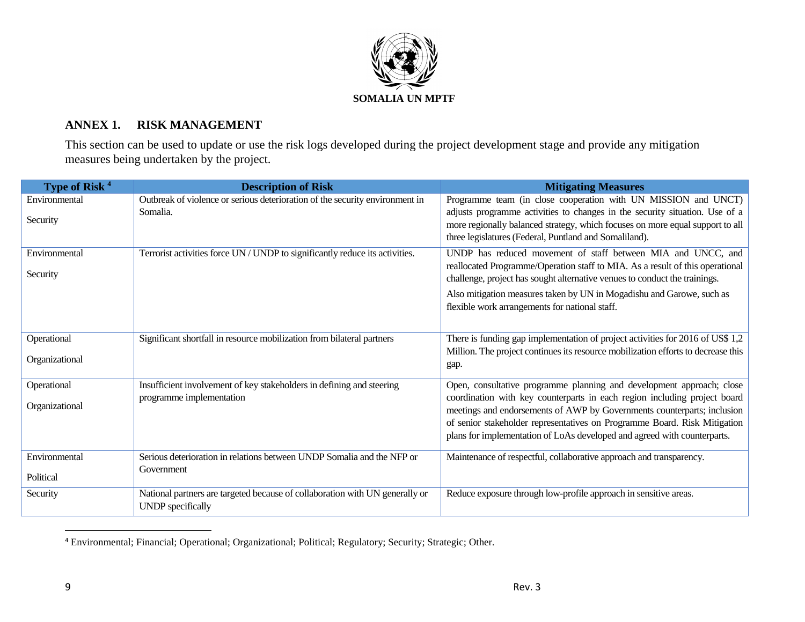

# **ANNEX 1. RISK MANAGEMENT**

This section can be used to update or use the risk logs developed during the project development stage and provide any mitigation measures being undertaken by the project.

| Type of Risk <sup>4</sup>     | <b>Description of Risk</b>                                                                               | <b>Mitigating Measures</b>                                                                                                                                                                                                                                                                                                                                                             |
|-------------------------------|----------------------------------------------------------------------------------------------------------|----------------------------------------------------------------------------------------------------------------------------------------------------------------------------------------------------------------------------------------------------------------------------------------------------------------------------------------------------------------------------------------|
| Environmental<br>Security     | Outbreak of violence or serious deterioration of the security environment in<br>Somalia.                 | Programme team (in close cooperation with UN MISSION and UNCT)<br>adjusts programme activities to changes in the security situation. Use of a<br>more regionally balanced strategy, which focuses on more equal support to all<br>three legislatures (Federal, Puntland and Somaliland).                                                                                               |
| Environmental<br>Security     | Terrorist activities force UN / UNDP to significantly reduce its activities.                             | UNDP has reduced movement of staff between MIA and UNCC, and<br>reallocated Programme/Operation staff to MIA. As a result of this operational<br>challenge, project has sought alternative venues to conduct the trainings.<br>Also mitigation measures taken by UN in Mogadishu and Garowe, such as<br>flexible work arrangements for national staff.                                 |
| Operational<br>Organizational | Significant shortfall in resource mobilization from bilateral partners                                   | There is funding gap implementation of project activities for 2016 of US\$ 1,2<br>Million. The project continues its resource mobilization efforts to decrease this<br>gap.                                                                                                                                                                                                            |
| Operational<br>Organizational | Insufficient involvement of key stakeholders in defining and steering<br>programme implementation        | Open, consultative programme planning and development approach; close<br>coordination with key counterparts in each region including project board<br>meetings and endorsements of AWP by Governments counterparts; inclusion<br>of senior stakeholder representatives on Programme Board. Risk Mitigation<br>plans for implementation of LoAs developed and agreed with counterparts. |
| Environmental<br>Political    | Serious deterioration in relations between UNDP Somalia and the NFP or<br>Government                     | Maintenance of respectful, collaborative approach and transparency.                                                                                                                                                                                                                                                                                                                    |
| Security                      | National partners are targeted because of collaboration with UN generally or<br><b>UNDP</b> specifically | Reduce exposure through low-profile approach in sensitive areas.                                                                                                                                                                                                                                                                                                                       |

<sup>4</sup> Environmental; Financial; Operational; Organizational; Political; Regulatory; Security; Strategic; Other.

 $\overline{a}$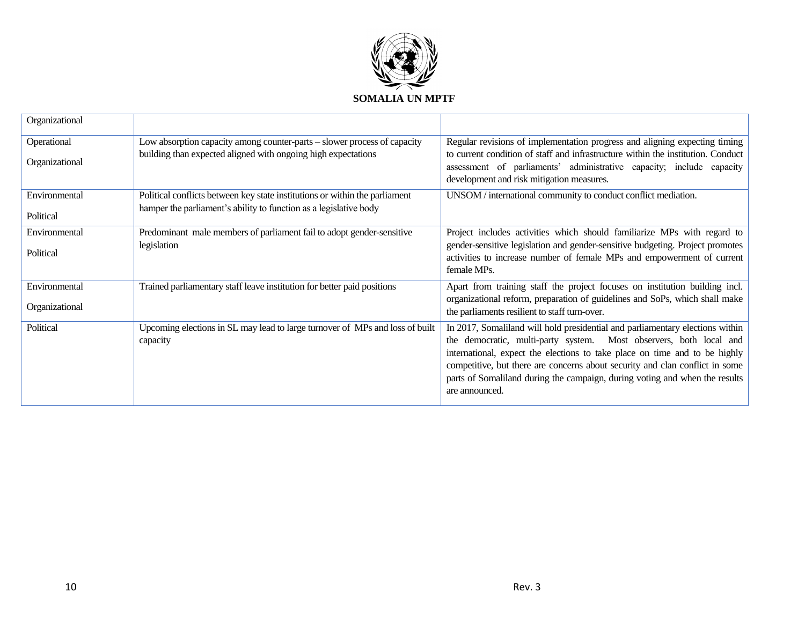

| Organizational |                                                                                          |                                                                                                                                                                                                                                                                                                                                                                                                                    |
|----------------|------------------------------------------------------------------------------------------|--------------------------------------------------------------------------------------------------------------------------------------------------------------------------------------------------------------------------------------------------------------------------------------------------------------------------------------------------------------------------------------------------------------------|
| Operational    | Low absorption capacity among counter-parts – slower process of capacity                 | Regular revisions of implementation progress and aligning expecting timing                                                                                                                                                                                                                                                                                                                                         |
| Organizational | building than expected aligned with ongoing high expectations                            | to current condition of staff and infrastructure within the institution. Conduct<br>assessment of parliaments' administrative capacity; include capacity<br>development and risk mitigation measures.                                                                                                                                                                                                              |
| Environmental  | Political conflicts between key state institutions or within the parliament              | UNSOM / international community to conduct conflict mediation.                                                                                                                                                                                                                                                                                                                                                     |
| Political      | hamper the parliament's ability to function as a legislative body                        |                                                                                                                                                                                                                                                                                                                                                                                                                    |
| Environmental  | Predominant male members of parliament fail to adopt gender-sensitive                    | Project includes activities which should familiarize MPs with regard to                                                                                                                                                                                                                                                                                                                                            |
| Political      | legislation                                                                              | gender-sensitive legislation and gender-sensitive budgeting. Project promotes<br>activities to increase number of female MPs and empowerment of current<br>female MPs.                                                                                                                                                                                                                                             |
| Environmental  | Trained parliamentary staff leave institution for better paid positions                  | Apart from training staff the project focuses on institution building incl.                                                                                                                                                                                                                                                                                                                                        |
| Organizational |                                                                                          | organizational reform, preparation of guidelines and SoPs, which shall make<br>the parliaments resilient to staff turn-over.                                                                                                                                                                                                                                                                                       |
| Political      | Upcoming elections in SL may lead to large turnover of MPs and loss of built<br>capacity | In 2017, Somaliland will hold presidential and parliamentary elections within<br>the democratic, multi-party system. Most observers, both local and<br>international, expect the elections to take place on time and to be highly<br>competitive, but there are concerns about security and clan conflict in some<br>parts of Somaliland during the campaign, during voting and when the results<br>are announced. |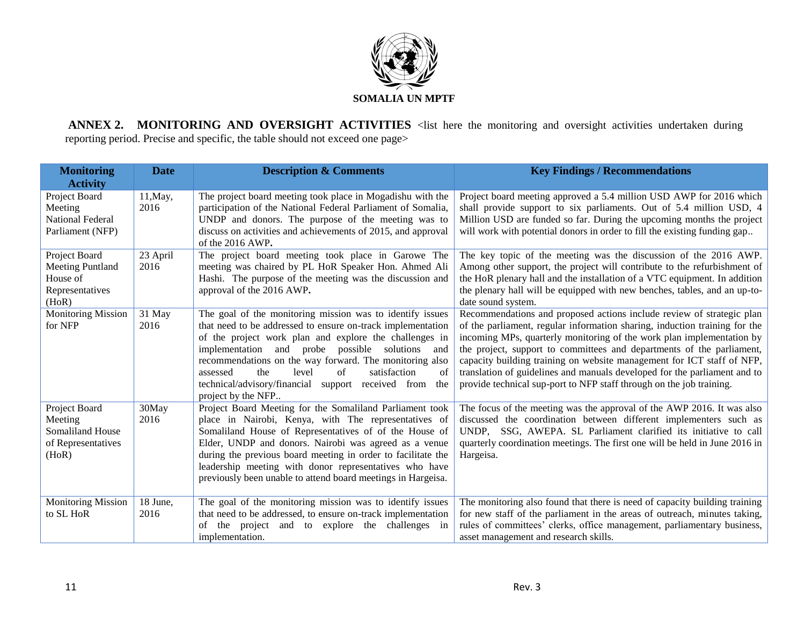

**ANNEX 2. MONITORING AND OVERSIGHT ACTIVITIES** <list here the monitoring and oversight activities undertaken during reporting period. Precise and specific, the table should not exceed one page>

| <b>Monitoring</b><br><b>Activity</b>                                             | <b>Date</b>      | <b>Description &amp; Comments</b>                                                                                                                                                                                                                                                                                                                                                                                                              | <b>Key Findings / Recommendations</b>                                                                                                                                                                                                                                                                                                                                                                                                                                                                                                |
|----------------------------------------------------------------------------------|------------------|------------------------------------------------------------------------------------------------------------------------------------------------------------------------------------------------------------------------------------------------------------------------------------------------------------------------------------------------------------------------------------------------------------------------------------------------|--------------------------------------------------------------------------------------------------------------------------------------------------------------------------------------------------------------------------------------------------------------------------------------------------------------------------------------------------------------------------------------------------------------------------------------------------------------------------------------------------------------------------------------|
| Project Board<br>Meeting<br><b>National Federal</b><br>Parliament (NFP)          | 11, May,<br>2016 | The project board meeting took place in Mogadishu with the<br>participation of the National Federal Parliament of Somalia,<br>UNDP and donors. The purpose of the meeting was to<br>discuss on activities and achievements of 2015, and approval<br>of the 2016 AWP.                                                                                                                                                                           | Project board meeting approved a 5.4 million USD AWP for 2016 which<br>shall provide support to six parliaments. Out of 5.4 million USD, 4<br>Million USD are funded so far. During the upcoming months the project<br>will work with potential donors in order to fill the existing funding gap                                                                                                                                                                                                                                     |
| Project Board<br><b>Meeting Puntland</b><br>House of<br>Representatives<br>(HoR) | 23 April<br>2016 | The project board meeting took place in Garowe The<br>meeting was chaired by PL HoR Speaker Hon. Ahmed Ali<br>Hashi. The purpose of the meeting was the discussion and<br>approval of the 2016 AWP.                                                                                                                                                                                                                                            | The key topic of the meeting was the discussion of the 2016 AWP.<br>Among other support, the project will contribute to the refurbishment of<br>the HoR plenary hall and the installation of a VTC equipment. In addition<br>the plenary hall will be equipped with new benches, tables, and an up-to-<br>date sound system.                                                                                                                                                                                                         |
| <b>Monitoring Mission</b><br>for NFP                                             | 31 May<br>2016   | The goal of the monitoring mission was to identify issues<br>that need to be addressed to ensure on-track implementation<br>of the project work plan and explore the challenges in<br>implementation and probe possible solutions<br>and<br>recommendations on the way forward. The monitoring also<br>satisfaction<br>level<br>of<br>assessed<br>the<br>of<br>technical/advisory/financial support received from<br>the<br>project by the NFP | Recommendations and proposed actions include review of strategic plan<br>of the parliament, regular information sharing, induction training for the<br>incoming MPs, quarterly monitoring of the work plan implementation by<br>the project, support to committees and departments of the parliament,<br>capacity building training on website management for ICT staff of NFP,<br>translation of guidelines and manuals developed for the parliament and to<br>provide technical sup-port to NFP staff through on the job training. |
| Project Board<br>Meeting<br>Somaliland House<br>of Representatives<br>(HoR)      | 30May<br>2016    | Project Board Meeting for the Somaliland Parliament took<br>place in Nairobi, Kenya, with The representatives of<br>Somaliland House of Representatives of of the House of<br>Elder, UNDP and donors. Nairobi was agreed as a venue<br>during the previous board meeting in order to facilitate the<br>leadership meeting with donor representatives who have<br>previously been unable to attend board meetings in Hargeisa.                  | The focus of the meeting was the approval of the AWP 2016. It was also<br>discussed the coordination between different implementers such as<br>SSG, AWEPA. SL Parliament clarified its initiative to call<br>UNDP.<br>quarterly coordination meetings. The first one will be held in June 2016 in<br>Hargeisa.                                                                                                                                                                                                                       |
| <b>Monitoring Mission</b><br>to SL HoR                                           | 18 June,<br>2016 | The goal of the monitoring mission was to identify issues<br>that need to be addressed, to ensure on-track implementation<br>the project and to explore the challenges in<br>of<br>implementation.                                                                                                                                                                                                                                             | The monitoring also found that there is need of capacity building training<br>for new staff of the parliament in the areas of outreach, minutes taking,<br>rules of committees' clerks, office management, parliamentary business,<br>asset management and research skills.                                                                                                                                                                                                                                                          |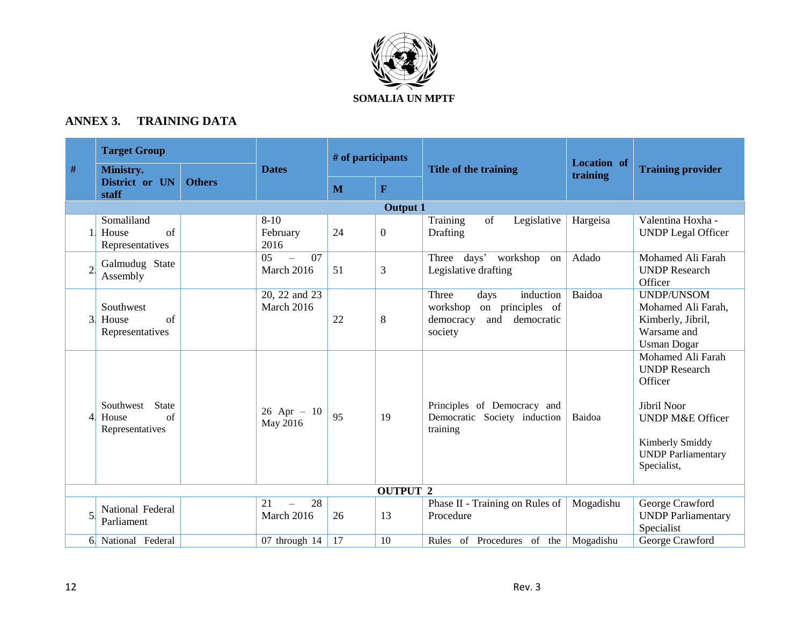

# **ANNEX 3. TRAINING DATA**

|      | <b>Target Group</b>                                         |               |                                                             | # of participants |                 |                                                                                                         | <b>Location</b> of |                                                                                                                                                                   |
|------|-------------------------------------------------------------|---------------|-------------------------------------------------------------|-------------------|-----------------|---------------------------------------------------------------------------------------------------------|--------------------|-------------------------------------------------------------------------------------------------------------------------------------------------------------------|
| $\#$ | Ministry.<br>District or UN                                 | <b>Others</b> | <b>Dates</b>                                                |                   |                 | Title of the training                                                                                   | training           | <b>Training provider</b>                                                                                                                                          |
|      | staff                                                       |               |                                                             | M                 | $\mathbf F$     |                                                                                                         |                    |                                                                                                                                                                   |
|      |                                                             |               |                                                             |                   | <b>Output 1</b> |                                                                                                         |                    |                                                                                                                                                                   |
|      | Somaliland<br>of<br>House<br>Representatives                |               | $8 - 10$<br>February<br>2016                                | 24                | $\overline{0}$  | Training<br>of<br>Legislative<br>Drafting                                                               | Hargeisa           | Valentina Hoxha -<br><b>UNDP</b> Legal Officer                                                                                                                    |
|      | Galmudug State<br>Assembly                                  |               | $\overline{07}$<br>0 <sub>5</sub><br>$\equiv$<br>March 2016 | 51                | 3               | Three days' workshop<br>on<br>Legislative drafting                                                      | Adado              | Mohamed Ali Farah<br><b>UNDP</b> Research<br>Officer                                                                                                              |
| 3    | Southwest<br>of<br>House<br>Representatives                 |               | 20, 22 and 23<br>March 2016                                 | 22                | 8               | Three<br>induction<br>days<br>workshop<br>on principles of<br>and<br>democracy<br>democratic<br>society | Baidoa             | <b>UNDP/UNSOM</b><br>Mohamed Ali Farah,<br>Kimberly, Jibril,<br>Warsame and<br><b>Usman Dogar</b>                                                                 |
| 4    | Southwest<br><b>State</b><br>of<br>House<br>Representatives |               | $26$ Apr - 10<br>May 2016                                   | 95                | 19              | Principles of Democracy and<br>Democratic Society induction<br>training                                 | Baidoa             | Mohamed Ali Farah<br><b>UNDP</b> Research<br>Officer<br>Jibril Noor<br><b>UNDP M&amp;E Officer</b><br>Kimberly Smiddy<br><b>UNDP</b> Parliamentary<br>Specialist, |
|      |                                                             |               |                                                             |                   | <b>OUTPUT 2</b> |                                                                                                         |                    |                                                                                                                                                                   |
|      | National Federal<br>Parliament                              |               | 28<br>21<br>March 2016                                      | 26                | 13              | Phase II - Training on Rules of<br>Procedure                                                            | Mogadishu          | George Crawford<br><b>UNDP</b> Parliamentary<br>Specialist                                                                                                        |
|      | 6. National Federal                                         |               | 07 through 14                                               | 17                | 10              | Rules of Procedures of the Mogadishu                                                                    |                    | George Crawford                                                                                                                                                   |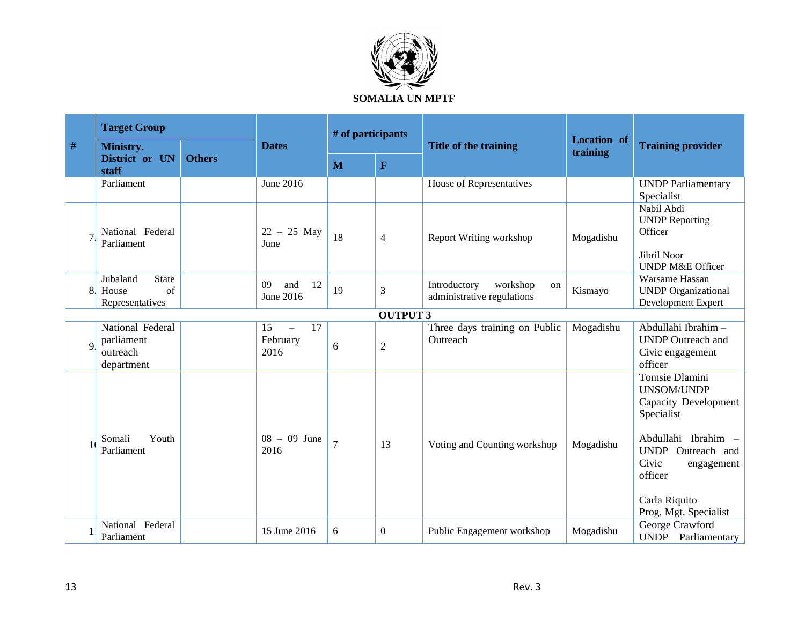

| $\#$        | <b>Target Group</b>                                        |               |                                          | # of participants |                |                                                              |                                |                                                                                                                                                                                                   |
|-------------|------------------------------------------------------------|---------------|------------------------------------------|-------------------|----------------|--------------------------------------------------------------|--------------------------------|---------------------------------------------------------------------------------------------------------------------------------------------------------------------------------------------------|
|             | Ministry.<br>District or UN                                | <b>Others</b> | <b>Dates</b>                             |                   |                | Title of the training                                        | <b>Location</b> of<br>training | <b>Training provider</b>                                                                                                                                                                          |
|             | staff                                                      |               |                                          | M                 | $\mathbf{F}$   |                                                              |                                |                                                                                                                                                                                                   |
|             | Parliament                                                 |               | June 2016                                |                   |                | House of Representatives                                     |                                | <b>UNDP</b> Parliamentary<br>Specialist                                                                                                                                                           |
|             | National Federal<br>Parliament                             |               | $22 - 25$ May<br>June                    | 18                | $\overline{4}$ | <b>Report Writing workshop</b>                               | Mogadishu                      | Nabil Abdi<br><b>UNDP</b> Reporting<br>Officer<br>Jibril Noor<br><b>UNDP M&amp;E Officer</b>                                                                                                      |
| 8.          | Jubaland<br><b>State</b><br>of<br>House<br>Representatives |               | 09<br>12<br>and<br>June 2016             | 19                | 3              | Introductory<br>workshop<br>on<br>administrative regulations | Kismayo                        | Warsame Hassan<br><b>UNDP</b> Organizational<br>Development Expert                                                                                                                                |
|             | <b>OUTPUT 3</b>                                            |               |                                          |                   |                |                                                              |                                |                                                                                                                                                                                                   |
| $\mathbf Q$ | National Federal<br>parliament<br>outreach<br>department   |               | 17<br>15<br>$\equiv$<br>February<br>2016 | 6                 | $\overline{2}$ | Three days training on Public<br>Outreach                    | Mogadishu                      | Abdullahi Ibrahim-<br><b>UNDP</b> Outreach and<br>Civic engagement<br>officer                                                                                                                     |
|             | Youth<br>Somali<br>Parliament                              |               | $08 - 09$ June<br>2016                   | $\overline{7}$    | 13             | Voting and Counting workshop                                 | Mogadishu                      | Tomsie Dlamini<br>UNSOM/UNDP<br><b>Capacity Development</b><br>Specialist<br>Abdullahi Ibrahim -<br>UNDP Outreach and<br>Civic<br>engagement<br>officer<br>Carla Riquito<br>Prog. Mgt. Specialist |
|             | National Federal<br>Parliament                             |               | 15 June 2016                             | 6                 | $\Omega$       | Public Engagement workshop                                   | Mogadishu                      | George Crawford<br><b>UNDP</b> Parliamentary                                                                                                                                                      |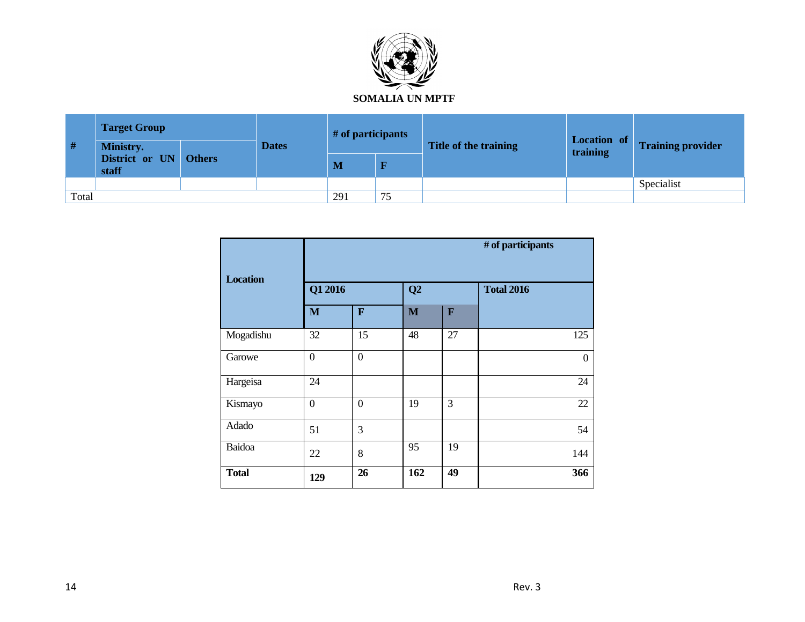

| #     | <b>Target Group</b>                         |  |              | # of participants |    |                       | Location of |                          |
|-------|---------------------------------------------|--|--------------|-------------------|----|-----------------------|-------------|--------------------------|
|       | Ministry.<br>District or UN Others<br>staff |  | <b>Dates</b> |                   |    | Title of the training | training    | <b>Training provider</b> |
|       |                                             |  |              | M                 | R  |                       |             |                          |
|       |                                             |  |              |                   |    |                       |             | Specialist               |
| Total |                                             |  |              | 291               | 75 |                       |             |                          |

| <b>Location</b> | # of participants |                |              |              |                   |  |  |
|-----------------|-------------------|----------------|--------------|--------------|-------------------|--|--|
|                 | Q1 2016           |                | Q2           |              | <b>Total 2016</b> |  |  |
|                 | M                 | $\mathbf{F}$   | $\mathbf{M}$ | $\mathbf{F}$ |                   |  |  |
| Mogadishu       | 32                | 15             | 48           | 27           | 125               |  |  |
| Garowe          | $\boldsymbol{0}$  | $\overline{0}$ |              |              | $\mathbf{0}$      |  |  |
| Hargeisa        | 24                |                |              |              | 24                |  |  |
| Kismayo         | $\boldsymbol{0}$  | $\overline{0}$ | 19           | 3            | 22                |  |  |
| Adado           | 51                | 3              |              |              | 54                |  |  |
| Baidoa          | 22                | 8              | 95           | 19           | 144               |  |  |
| <b>Total</b>    | 129               | 26             | 162          | 49           | 366               |  |  |